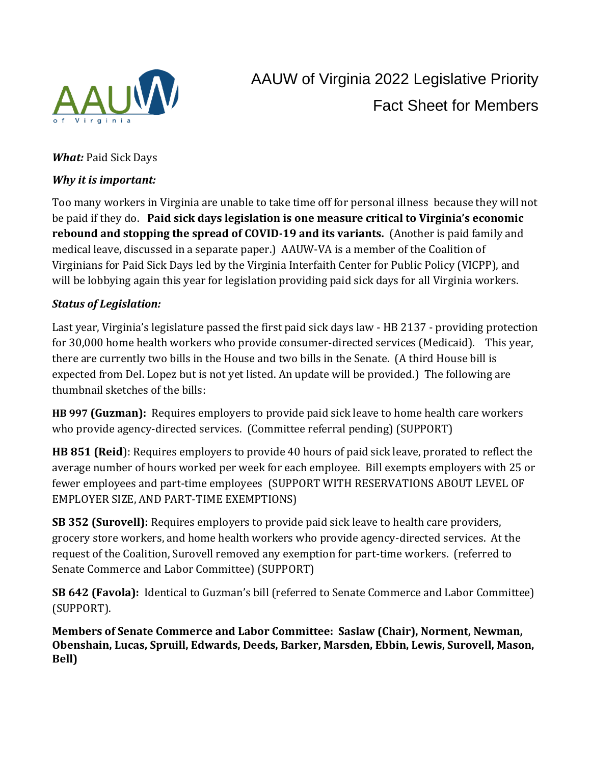

## *What:* Paid Sick Days

## *Why it is important:*

Too many workers in Virginia are unable to take time off for personal illness because they will not be paid if they do. **Paid sick days legislation is one measure critical to Virginia's economic rebound and stopping the spread of COVID-19 and its variants.** (Another is paid family and medical leave, discussed in a separate paper.) AAUW-VA is a member of the Coalition of Virginians for Paid Sick Days led by the Virginia Interfaith Center for Public Policy (VICPP), and will be lobbying again this year for legislation providing paid sick days for all Virginia workers.

# *Status of Legislation:*

Last year, Virginia's legislature passed the first paid sick days law - HB 2137 - providing protection for 30,000 home health workers who provide consumer-directed services (Medicaid). This year, there are currently two bills in the House and two bills in the Senate. (A third House bill is expected from Del. Lopez but is not yet listed. An update will be provided.) The following are thumbnail sketches of the bills:

**HB 997 (Guzman):** Requires employers to provide paid sick leave to home health care workers who provide agency-directed services. (Committee referral pending) (SUPPORT)

**HB 851 (Reid**): Requires employers to provide 40 hours of paid sick leave, prorated to reflect the average number of hours worked per week for each employee. Bill exempts employers with 25 or fewer employees and part-time employees (SUPPORT WITH RESERVATIONS ABOUT LEVEL OF EMPLOYER SIZE, AND PART-TIME EXEMPTIONS)

**SB 352 (Surovell):** Requires employers to provide paid sick leave to health care providers, grocery store workers, and home health workers who provide agency-directed services. At the request of the Coalition, Surovell removed any exemption for part-time workers. (referred to Senate Commerce and Labor Committee) (SUPPORT)

**SB 642 (Favola):** Identical to Guzman's bill (referred to Senate Commerce and Labor Committee) (SUPPORT).

**Members of Senate Commerce and Labor Committee: Saslaw (Chair), Norment, Newman, Obenshain, Lucas, Spruill, Edwards, Deeds, Barker, Marsden, Ebbin, Lewis, Surovell, Mason, Bell)**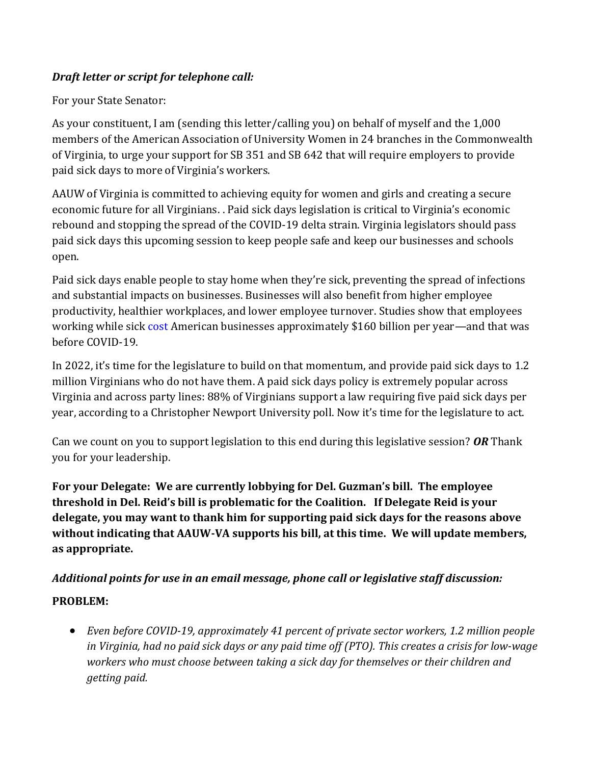# *Draft letter or script for telephone call:*

#### For your State Senator:

As your constituent, I am (sending this letter/calling you) on behalf of myself and the 1,000 members of the American Association of University Women in 24 branches in the Commonwealth of Virginia, to urge your support for SB 351 and SB 642 that will require employers to provide paid sick days to more of Virginia's workers.

AAUW of Virginia is committed to achieving equity for women and girls and creating a secure economic future for all Virginians. . Paid sick days legislation is critical to Virginia's economic rebound and stopping the spread of the COVID-19 delta strain. Virginia legislators should pass paid sick days this upcoming session to keep people safe and keep our businesses and schools open.

Paid sick days enable people to stay home when they're sick, preventing the spread of infections and substantial impacts on businesses. Businesses will also benefit from higher employee productivity, healthier workplaces, and lower employee turnover. Studies show that employees working while sick cost American businesses approximately \$160 billion per year—and that was before COVID-19.

In 2022, it's time for the legislature to build on that momentum, and provide paid sick days to 1.2 million Virginians who do not have them. A paid sick days policy is extremely popular across Virginia and across party lines: 88% of Virginians support a law requiring five paid sick days per year, according to a Christopher Newport University poll. Now it's time for the legislature to act.

Can we count on you to support legislation to this end during this legislative session? *OR* Thank you for your leadership.

**For your Delegate: We are currently lobbying for Del. Guzman's bill. The employee threshold in Del. Reid's bill is problematic for the Coalition. If Delegate Reid is your delegate, you may want to thank him for supporting paid sick days for the reasons above without indicating that AAUW-VA supports his bill, at this time. We will update members, as appropriate.** 

#### *Additional points for use in an email message, phone call or legislative staff discussion:*

#### **PROBLEM:**

• *Even before COVID-19, approximately 41 percent of private sector workers, 1.2 million people* in Virginia, had no paid sick days or any paid time off (PTO). This creates a crisis for low-wage *workers who must choose between taking a sick day for themselves or their children and getting paid.*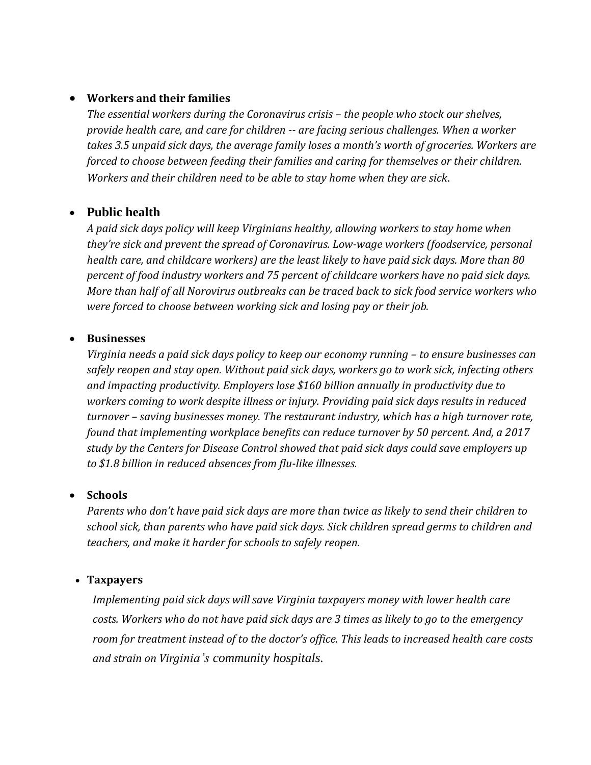#### • **Workers and their families**

*The essential workers during the Coronavirus crisis – the people who stock our shelves, provide health care, and care for children -- are facing serious challenges. When a worker takes 3.5 unpaid sick days, the average family loses a month's worth of groceries. Workers are forced to choose between feeding their families and caring for themselves or their children. Workers and their children need to be able to stay home when they are sick.*

# • **Public health**

*A paid sick days policy will keep Virginians healthy, allowing workers to stay home when they're sick and prevent the spread of Coronavirus. Low-wage workers (foodservice, personal health care, and childcare workers) are the least likely to have paid sick days. More than 80 percent of food industry workers and 75 percent of childcare workers have no paid sick days. More than half of all Norovirus outbreaks can be traced back to sick food service workers who were forced to choose between working sick and losing pay or their job.*

#### • **Businesses**

*Virginia needs a paid sick days policy to keep our economy running – to ensure businesses can safely reopen and stay open. Without paid sick days, workers go to work sick, infecting others and impacting productivity. Employers lose \$160 billion annually in productivity due to workers coming to work despite illness or injury. Providing paid sick days results in reduced turnover – saving businesses money. The restaurant industry, which has a high turnover rate, found that implementing workplace benefits can reduce turnover by 50 percent. And, a 2017 study by the Centers for Disease Control showed that paid sick days could save employers up to \$1.8 billion in reduced absences from flu-like illnesses.*

#### • **Schools**

*Parents who don't have paid sick days are more than twice as likely to send their children to school sick, than parents who have paid sick days. Sick children spread germs to children and teachers, and make it harder for schools to safely reopen.*

#### • **Taxpayers**

*Implementing paid sick days will save Virginia taxpayers money with lower health care costs. Workers who do not have paid sick days are 3 times as likely to go to the emergency room for treatment instead of to the doctor's office. This leads to increased health care costs and strain on Virginia's community hospitals.*